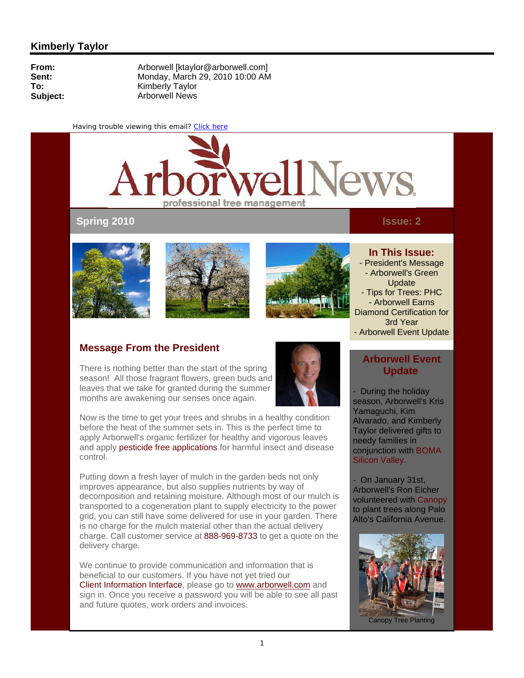

# **Spring 2010**

#### **Issue: 2**







#### **In This Issue:**

- President's Message - Arborwell's Green Update
- Tips for Trees: PHC - Arborwell Earns Diamond Certification for 3rd Year
- Arborwell Event Update

## **Message From the President**

There is nothing better than the start of the spring season! All those fragrant flowers, green buds and leaves that we take for granted during the summer months are awakening our senses once again.



Now is the time to get your trees and shrubs in a healthy condition before the heat of the summer sets in. This is the perfect time to apply Arborwell's organic fertilizer for healthy and vigorous leaves and apply pesticide free applications for harmful insect and disease control.

Putting down a fresh layer of mulch in the garden beds not only improves appearance, but also supplies nutrients by way of decomposition and retaining moisture. Although most of our mulch is transported to a cogeneration plant to supply electricity to the power grid, you can still have some delivered for use in your garden. There is no charge for the mulch material other than the actual delivery charge. Call customer service at 888-969-8733 to get a quote on the delivery charge.

We continue to provide communication and information that is beneficial to our customers. If you have not yet tried our Client Information Interface, please go to www.arborwell.com and sign in. Once you receive a password you will be able to see all past and future quotes, work orders and invoices.

# **Arborwell Event Update**

- During the holiday season, Arborwell's Kris Yamaguchi, Kim Alvarado, and Kimberly Taylor delivered gifts to needy families in conjunction with BOMA Silicon Valley.

- On January 31st, Arborwell's Ron Eicher volunteered with Canopy to plant trees along Palo Alto's California Avenue.



Canopy Tree Planting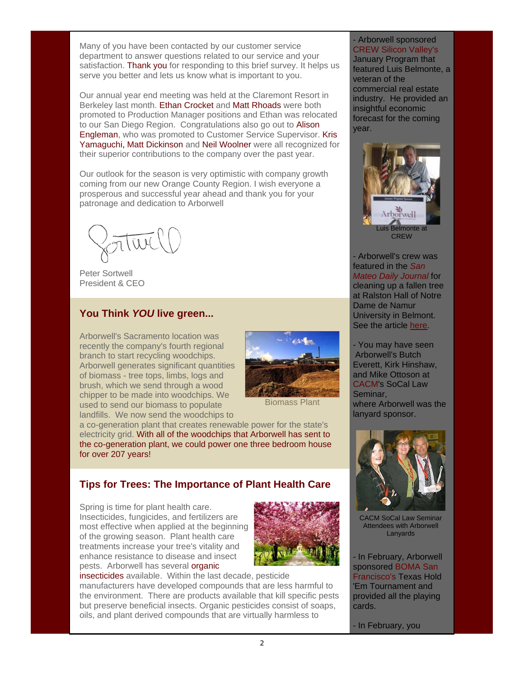Many of you have been contacted by our customer service department to answer questions related to our service and your satisfaction. Thank you for responding to this brief survey. It helps us serve you better and lets us know what is important to you.

Our annual year end meeting was held at the Claremont Resort in Berkeley last month. Ethan Crocket and Matt Rhoads were both promoted to Production Manager positions and Ethan was relocated to our San Diego Region. Congratulations also go out to Alison Engleman, who was promoted to Customer Service Supervisor. Kris Yamaguchi, Matt Dickinson and Neil Woolner were all recognized for their superior contributions to the company over the past year.

Our outlook for the season is very optimistic with company growth coming from our new Orange County Region. I wish everyone a prosperous and successful year ahead and thank you for your patronage and dedication to Arborwell

 Peter Sortwell President & CEO

### **You Think** *YOU* **live green...**

Arborwell's Sacramento location was recently the company's fourth regional branch to start recycling woodchips. Arborwell generates significant quantities of biomass - tree tops, limbs, logs and brush, which we send through a wood chipper to be made into woodchips. We used to send our biomass to populate landfills. We now send the woodchips to



Biomass Plant

a co-generation plant that creates renewable power for the state's electricity grid. With all of the woodchips that Arborwell has sent to the co-generation plant, we could power one three bedroom house for over 207 years!

# **Tips for Trees: The Importance of Plant Health Care**

Spring is time for plant health care. Insecticides, fungicides, and fertilizers are most effective when applied at the beginning of the growing season. Plant health care treatments increase your tree's vitality and enhance resistance to disease and insect pests. Arborwell has several **organic** 



insecticides available. Within the last decade, pesticide manufacturers have developed compounds that are less harmful to the environment. There are products available that kill specific pests but preserve beneficial insects. Organic pesticides consist of soaps, oils, and plant derived compounds that are virtually harmless to

- Arborwell sponsored CREW Silicon Valley's January Program that featured Luis Belmonte, a veteran of the commercial real estate industry. He provided an insightful economic forecast for the coming year.



- Arborwell's crew was featured in the *San Mateo Daily Journal* for cleaning up a fallen tree at Ralston Hall of Notre Dame de Namur University in Belmont. See the article here.

- You may have seen Arborwell's Butch Everett, Kirk Hinshaw, and Mike Ottoson at CACM's SoCal Law Seminar, where Arborwell was the lanyard sponsor.



CACM SoCal Law Seminar Attendees with Arborwell Lanyards

- In February, Arborwell sponsored BOMA San Francisco's Texas Hold 'Em Tournament and provided all the playing cards.

- In February, you